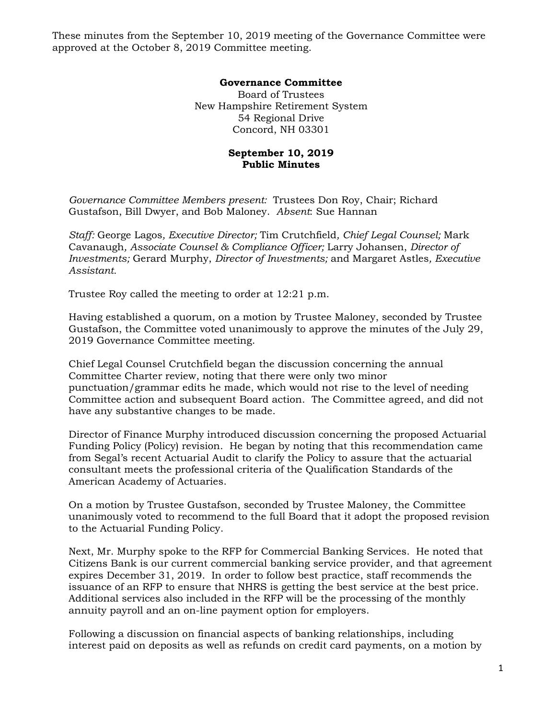These minutes from the September 10, 2019 meeting of the Governance Committee were approved at the October 8, 2019 Committee meeting.

## **Governance Committee**

Board of Trustees New Hampshire Retirement System 54 Regional Drive Concord, NH 03301

## **September 10, 2019 Public Minutes**

*Governance Committee Members present:* Trustees Don Roy, Chair; Richard Gustafson, Bill Dwyer, and Bob Maloney. *Absent*: Sue Hannan

*Staff:* George Lagos*, Executive Director;* Tim Crutchfield*, Chief Legal Counsel;* Mark Cavanaugh*, Associate Counsel & Compliance Officer;* Larry Johansen, *Director of Investments;* Gerard Murphy, *Director of Investments;* and Margaret Astles*, Executive Assistant.* 

Trustee Roy called the meeting to order at 12:21 p.m.

Having established a quorum, on a motion by Trustee Maloney, seconded by Trustee Gustafson, the Committee voted unanimously to approve the minutes of the July 29, 2019 Governance Committee meeting.

Chief Legal Counsel Crutchfield began the discussion concerning the annual Committee Charter review, noting that there were only two minor punctuation/grammar edits he made, which would not rise to the level of needing Committee action and subsequent Board action. The Committee agreed, and did not have any substantive changes to be made.

Director of Finance Murphy introduced discussion concerning the proposed Actuarial Funding Policy (Policy) revision. He began by noting that this recommendation came from Segal's recent Actuarial Audit to clarify the Policy to assure that the actuarial consultant meets the professional criteria of the Qualification Standards of the American Academy of Actuaries.

On a motion by Trustee Gustafson, seconded by Trustee Maloney, the Committee unanimously voted to recommend to the full Board that it adopt the proposed revision to the Actuarial Funding Policy.

Next, Mr. Murphy spoke to the RFP for Commercial Banking Services. He noted that Citizens Bank is our current commercial banking service provider, and that agreement expires December 31, 2019. In order to follow best practice, staff recommends the issuance of an RFP to ensure that NHRS is getting the best service at the best price. Additional services also included in the RFP will be the processing of the monthly annuity payroll and an on-line payment option for employers.

Following a discussion on financial aspects of banking relationships, including interest paid on deposits as well as refunds on credit card payments, on a motion by